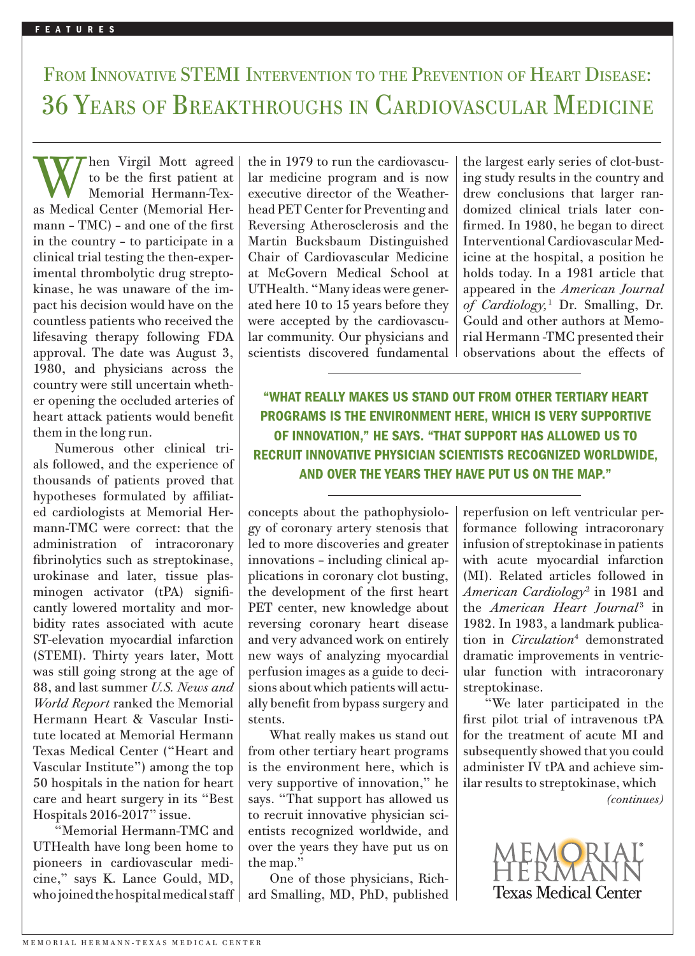## FROM INNOVATIVE STEMI INTERVENTION TO THE PREVENTION OF HEART DISEASE: 36 Years of Breakthroughs in Cardiovascular Medicine

We be the first pattent at a lat method pogram and is<br>as Medical Center (Memorial Her-<br>mann – TMC) – and one of the first<br>in the country – to participate in a Martin Bucksbaum Distingu W hen Virgil Mott agreed<br>to be the first patient at<br>Memorial Hermann-Tex-<br>as Medical Center (Memorial Herhen Virgil Mott agreed to be the first patient at Memorial Hermann-Texmann – TMC) – and one of the first in the country – to participate in a clinical trial testing the then-experimental thrombolytic drug streptokinase, he was unaware of the impact his decision would have on the countless patients who received the lifesaving therapy following FDA approval. The date was August 3, 1980, and physicians across the country were still uncertain whether opening the occluded arteries of heart attack patients would benefit them in the long run.

> Numerous other clinical trials followed, and the experience of thousands of patients proved that hypotheses formulated by affiliated cardiologists at Memorial Hermann-TMC were correct: that the administration of intracoronary fibrinolytics such as streptokinase, urokinase and later, tissue plasminogen activator (tPA) significantly lowered mortality and morbidity rates associated with acute ST-elevation myocardial infarction (STEMI). Thirty years later, Mott was still going strong at the age of 88, and last summer *U.S. News and World Report* ranked the Memorial Hermann Heart & Vascular Institute located at Memorial Hermann Texas Medical Center ("Heart and Vascular Institute") among the top 50 hospitals in the nation for heart care and heart surgery in its "Best Hospitals 2016-2017" issue.

> "Memorial Hermann-TMC and UTHealth have long been home to pioneers in cardiovascular medicine," says K. Lance Gould, MD, who joined the hospital medical staff

the in 1979 to run the cardiovascular medicine program and is now executive director of the Weatherhead PET Center for Preventing and Reversing Atherosclerosis and the Martin Bucksbaum Distinguished Chair of Cardiovascular Medicine at McGovern Medical School at UTHealth. "Many ideas were generated here 10 to 15 years before they were accepted by the cardiovascular community. Our physicians and scientists discovered fundamental

the largest early series of clot-busting study results in the country and drew conclusions that larger randomized clinical trials later confirmed. In 1980, he began to direct Interventional Cardiovascular Medicine at the hospital, a position he holds today. In a 1981 article that appeared in the *American Journal of Cardiology,*<sup>1</sup> Dr. Smalling, Dr. Gould and other authors at Memorial Hermann -TMC presented their observations about the effects of

"WHAT REALLY MAKES US STAND OUT FROM OTHER TERTIARY HEART PROGRAMS IS THE ENVIRONMENT HERE, WHICH IS VERY SUPPORTIVE OF INNOVATION," HE SAYS. "THAT SUPPORT HAS ALLOWED US TO RECRUIT INNOVATIVE PHYSICIAN SCIENTISTS RECOGNIZED WORLDWIDE, AND OVER THE YEARS THEY HAVE PUT US ON THE MAP."

concepts about the pathophysiology of coronary artery stenosis that led to more discoveries and greater innovations – including clinical applications in coronary clot busting, the development of the first heart PET center, new knowledge about reversing coronary heart disease and very advanced work on entirely new ways of analyzing myocardial perfusion images as a guide to decisions about which patients will actually benefit from bypass surgery and stents.

What really makes us stand out from other tertiary heart programs is the environment here, which is very supportive of innovation," he says. "That support has allowed us to recruit innovative physician scientists recognized worldwide, and over the years they have put us on the map."

One of those physicians, Richard Smalling, MD, PhD, published reperfusion on left ventricular performance following intracoronary infusion of streptokinase in patients with acute myocardial infarction (MI). Related articles followed in *American Cardiology*<sup>2</sup> in 1981 and the *American Heart Journal*<sup>3</sup> in 1982. In 1983, a landmark publication in *Circulation*<sup>4</sup> demonstrated dramatic improvements in ventricular function with intracoronary streptokinase.

"We later participated in the first pilot trial of intravenous tPA for the treatment of acute MI and subsequently showed that you could administer IV tPA and achieve similar results to streptokinase, which

*(continues)*

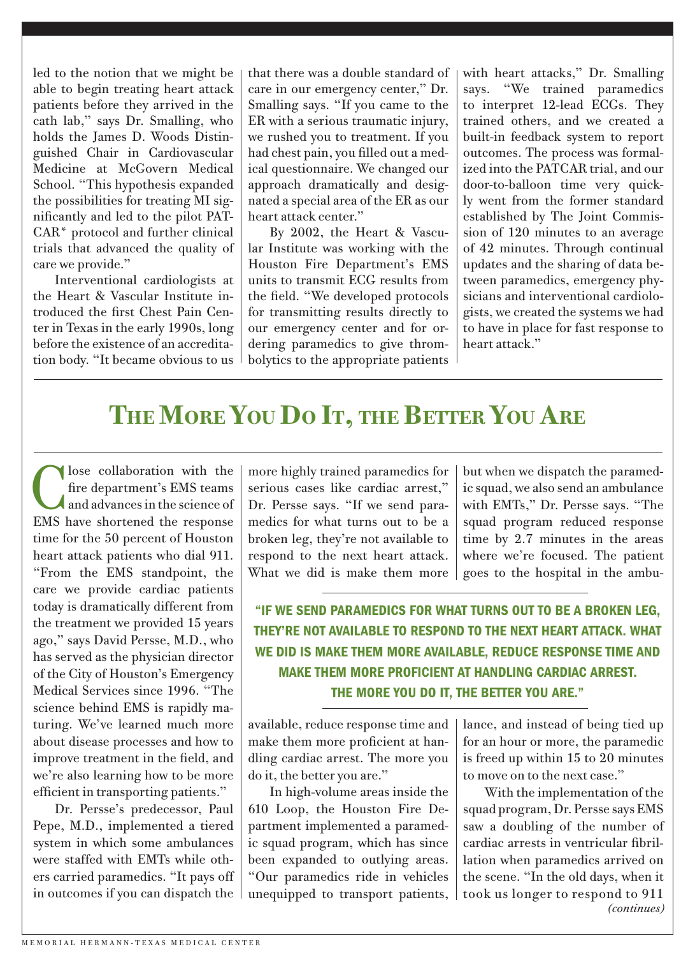led to the notion that we might be able to begin treating heart attack patients before they arrived in the cath lab," says Dr. Smalling, who holds the James D. Woods Distinguished Chair in Cardiovascular Medicine at McGovern Medical School. "This hypothesis expanded the possibilities for treating MI significantly and led to the pilot PAT-CAR\* protocol and further clinical trials that advanced the quality of care we provide."

Interventional cardiologists at the Heart & Vascular Institute introduced the first Chest Pain Center in Texas in the early 1990s, long before the existence of an accreditation body. "It became obvious to us that there was a double standard of care in our emergency center," Dr. Smalling says. "If you came to the ER with a serious traumatic injury, we rushed you to treatment. If you had chest pain, you filled out a medical questionnaire. We changed our approach dramatically and designated a special area of the ER as our heart attack center."

By 2002, the Heart & Vascular Institute was working with the Houston Fire Department's EMS units to transmit ECG results from the field. "We developed protocols for transmitting results directly to our emergency center and for ordering paramedics to give thrombolytics to the appropriate patients with heart attacks," Dr. Smalling says. "We trained paramedics to interpret 12-lead ECGs. They trained others, and we created a built-in feedback system to report outcomes. The process was formalized into the PATCAR trial, and our door-to-balloon time very quickly went from the former standard established by The Joint Commission of 120 minutes to an average of 42 minutes. Through continual updates and the sharing of data between paramedics, emergency physicians and interventional cardiologists, we created the systems we had to have in place for fast response to heart attack."

## THE MORE YOU DO IT, THE BETTER YOU ARE

Iose collaboration with the fire department's EMS teams and advances in the science of EMS have shortened the response time for the 50 percent of Houston heart attack patients who dial 911. "From the EMS standpoint, the care we provide cardiac patients today is dramatically different from the treatment we provided 15 years ago," says David Persse, M.D., who has served as the physician director of the City of Houston's Emergency Medical Services since 1996. "The science behind EMS is rapidly maturing. We've learned much more about disease processes and how to improve treatment in the field, and we're also learning how to be more efficient in transporting patients."

Dr. Persse's predecessor, Paul Pepe, M.D., implemented a tiered system in which some ambulances were staffed with EMTs while others carried paramedics. "It pays off in outcomes if you can dispatch the more highly trained paramedics for serious cases like cardiac arrest," Dr. Persse says. "If we send paramedics for what turns out to be a broken leg, they're not available to respond to the next heart attack. What we did is make them more

but when we dispatch the paramedic squad, we also send an ambulance with EMTs," Dr. Persse says. "The squad program reduced response time by 2.7 minutes in the areas where we're focused. The patient goes to the hospital in the ambu-

"IF WE SEND PARAMEDICS FOR WHAT TURNS OUT TO BE A BROKEN LEG, THEY'RE NOT AVAILABLE TO RESPOND TO THE NEXT HEART ATTACK. WHAT WE DID IS MAKE THEM MORE AVAILABLE, REDUCE RESPONSE TIME AND MAKE THEM MORE PROFICIENT AT HANDLING CARDIAC ARREST. THE MORE YOU DO IT, THE BETTER YOU ARE."

available, reduce response time and make them more proficient at handling cardiac arrest. The more you do it, the better you are."

In high-volume areas inside the 610 Loop, the Houston Fire Department implemented a paramedic squad program, which has since been expanded to outlying areas. "Our paramedics ride in vehicles unequipped to transport patients,

lance, and instead of being tied up for an hour or more, the paramedic is freed up within 15 to 20 minutes to move on to the next case."

With the implementation of the squad program, Dr. Persse says EMS saw a doubling of the number of cardiac arrests in ventricular fibrillation when paramedics arrived on the scene. "In the old days, when it took us longer to respond to 911 *(continues)*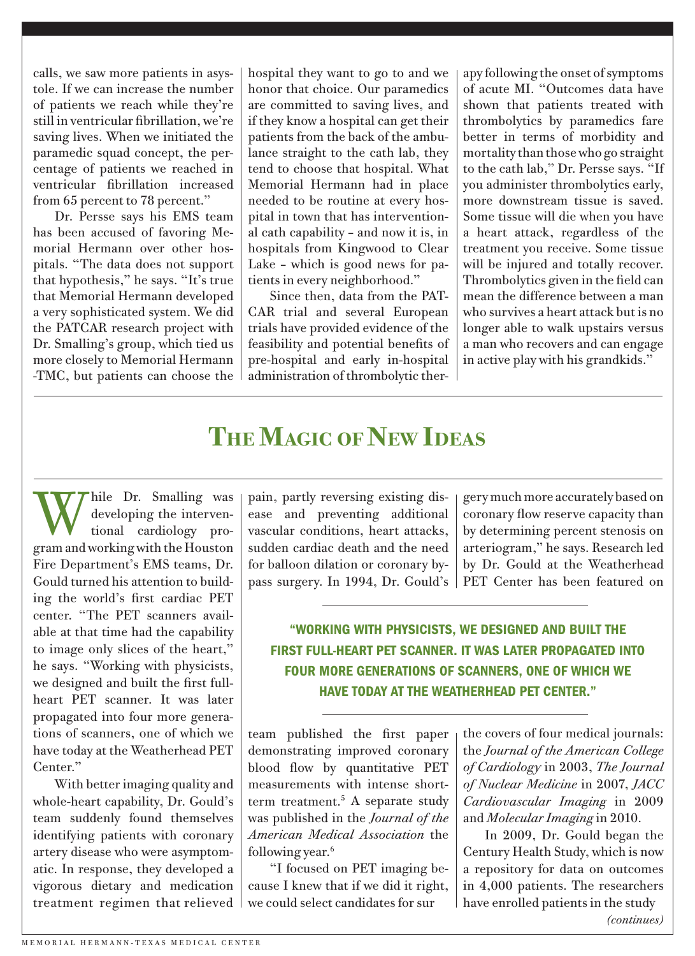calls, we saw more patients in asystole. If we can increase the number of patients we reach while they're still in ventricular fibrillation, we're saving lives. When we initiated the paramedic squad concept, the percentage of patients we reached in ventricular fibrillation increased from 65 percent to 78 percent."

Dr. Persse says his EMS team has been accused of favoring Memorial Hermann over other hospitals. "The data does not support that hypothesis," he says. "It's true that Memorial Hermann developed a very sophisticated system. We did the PATCAR research project with Dr. Smalling's group, which tied us more closely to Memorial Hermann -TMC, but patients can choose the hospital they want to go to and we honor that choice. Our paramedics are committed to saving lives, and if they know a hospital can get their patients from the back of the ambulance straight to the cath lab, they tend to choose that hospital. What Memorial Hermann had in place needed to be routine at every hospital in town that has interventional cath capability – and now it is, in hospitals from Kingwood to Clear Lake – which is good news for patients in every neighborhood."

Since then, data from the PAT-CAR trial and several European trials have provided evidence of the feasibility and potential benefits of pre-hospital and early in-hospital administration of thrombolytic therapy following the onset of symptoms of acute MI. "Outcomes data have shown that patients treated with thrombolytics by paramedics fare better in terms of morbidity and mortality than those who go straight to the cath lab," Dr. Persse says. "If you administer thrombolytics early, more downstream tissue is saved. Some tissue will die when you have a heart attack, regardless of the treatment you receive. Some tissue will be injured and totally recover. Thrombolytics given in the field can mean the difference between a man who survives a heart attack but is no longer able to walk upstairs versus a man who recovers and can engage in active play with his grandkids."

## **The Magic of New Ideas**

While Dr. Smalling was<br>developing the interven-<br>tional cardiology prodeveloping the intervengram and working with the Houston Fire Department's EMS teams, Dr. Gould turned his attention to building the world's first cardiac PET center. "The PET scanners available at that time had the capability to image only slices of the heart," he says. "Working with physicists, we designed and built the first fullheart PET scanner. It was later propagated into four more generations of scanners, one of which we have today at the Weatherhead PET Center."

With better imaging quality and whole-heart capability, Dr. Gould's team suddenly found themselves identifying patients with coronary artery disease who were asymptomatic. In response, they developed a vigorous dietary and medication treatment regimen that relieved pain, partly reversing existing disease and preventing additional vascular conditions, heart attacks, sudden cardiac death and the need for balloon dilation or coronary bypass surgery. In 1994, Dr. Gould's

gery much more accurately based on coronary flow reserve capacity than by determining percent stenosis on arteriogram," he says. Research led by Dr. Gould at the Weatherhead PET Center has been featured on

"WORKING WITH PHYSICISTS, WE DESIGNED AND BUILT THE FIRST FULL-HEART PET SCANNER. IT WAS LATER PROPAGATED INTO FOUR MORE GENERATIONS OF SCANNERS, ONE OF WHICH WE HAVE TODAY AT THE WEATHERHEAD PET CENTER."

team published the first paper demonstrating improved coronary blood flow by quantitative PET measurements with intense shortterm treatment.5 A separate study was published in the *Journal of the American Medical Association* the following year.<sup>6</sup>

"I focused on PET imaging because I knew that if we did it right, we could select candidates for sur

the covers of four medical journals: the *Journal of the American College of Cardiology* in 2003, *The Journal of Nuclear Medicine* in 2007, *JACC Cardiovascular Imaging* in 2009 and *Molecular Imaging* in 2010.

In 2009, Dr. Gould began the Century Health Study, which is now a repository for data on outcomes in 4,000 patients. The researchers have enrolled patients in the study *(continues)*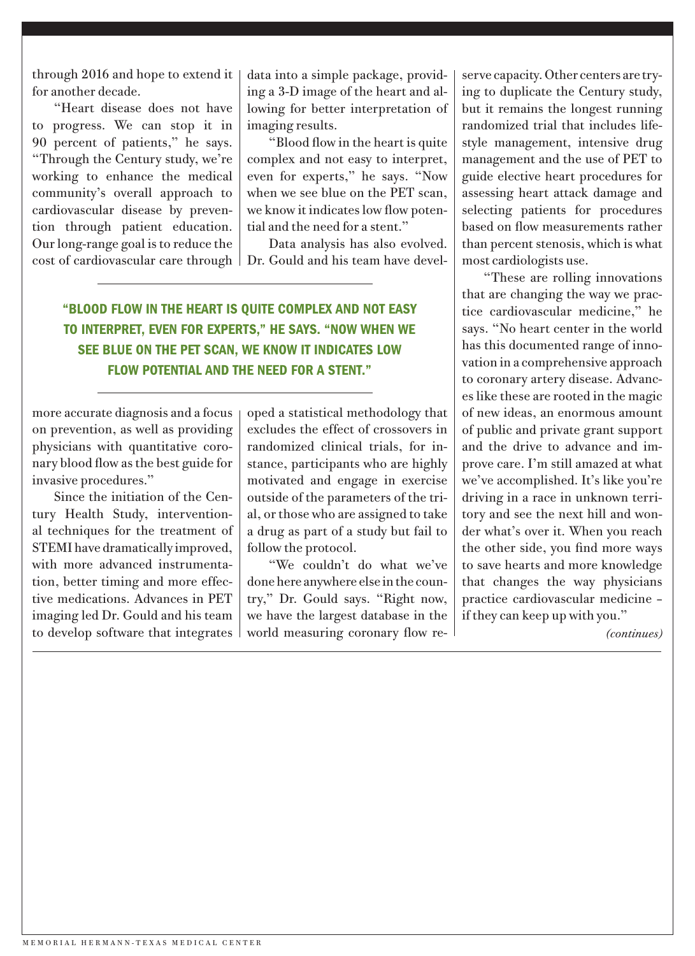through 2016 and hope to extend it for another decade.

"Heart disease does not have to progress. We can stop it in 90 percent of patients," he says. "Through the Century study, we're working to enhance the medical community's overall approach to cardiovascular disease by prevention through patient education. Our long-range goal is to reduce the cost of cardiovascular care through

data into a simple package, providing a 3-D image of the heart and allowing for better interpretation of imaging results.

"Blood flow in the heart is quite complex and not easy to interpret, even for experts," he says. "Now when we see blue on the PET scan, we know it indicates low flow potential and the need for a stent."

Data analysis has also evolved. Dr. Gould and his team have devel-

"BLOOD FLOW IN THE HEART IS QUITE COMPLEX AND NOT EASY TO INTERPRET, EVEN FOR EXPERTS," HE SAYS. "NOW WHEN WE SEE BLUE ON THE PET SCAN, WE KNOW IT INDICATES LOW FLOW POTENTIAL AND THE NEED FOR A STENT."

more accurate diagnosis and a focus on prevention, as well as providing physicians with quantitative coronary blood flow as the best guide for invasive procedures."

Since the initiation of the Century Health Study, interventional techniques for the treatment of STEMI have dramatically improved, with more advanced instrumentation, better timing and more effective medications. Advances in PET imaging led Dr. Gould and his team to develop software that integrates

oped a statistical methodology that excludes the effect of crossovers in randomized clinical trials, for instance, participants who are highly motivated and engage in exercise outside of the parameters of the trial, or those who are assigned to take a drug as part of a study but fail to follow the protocol.

"We couldn't do what we've done here anywhere else in the country," Dr. Gould says. "Right now, we have the largest database in the world measuring coronary flow re-

serve capacity. Other centers are trying to duplicate the Century study, but it remains the longest running randomized trial that includes lifestyle management, intensive drug management and the use of PET to guide elective heart procedures for assessing heart attack damage and selecting patients for procedures based on flow measurements rather than percent stenosis, which is what most cardiologists use.

"These are rolling innovations that are changing the way we practice cardiovascular medicine," he says. "No heart center in the world has this documented range of innovation in a comprehensive approach to coronary artery disease. Advances like these are rooted in the magic of new ideas, an enormous amount of public and private grant support and the drive to advance and improve care. I'm still amazed at what we've accomplished. It's like you're driving in a race in unknown territory and see the next hill and wonder what's over it. When you reach the other side, you find more ways to save hearts and more knowledge that changes the way physicians practice cardiovascular medicine – if they can keep up with you."

*(continues)*